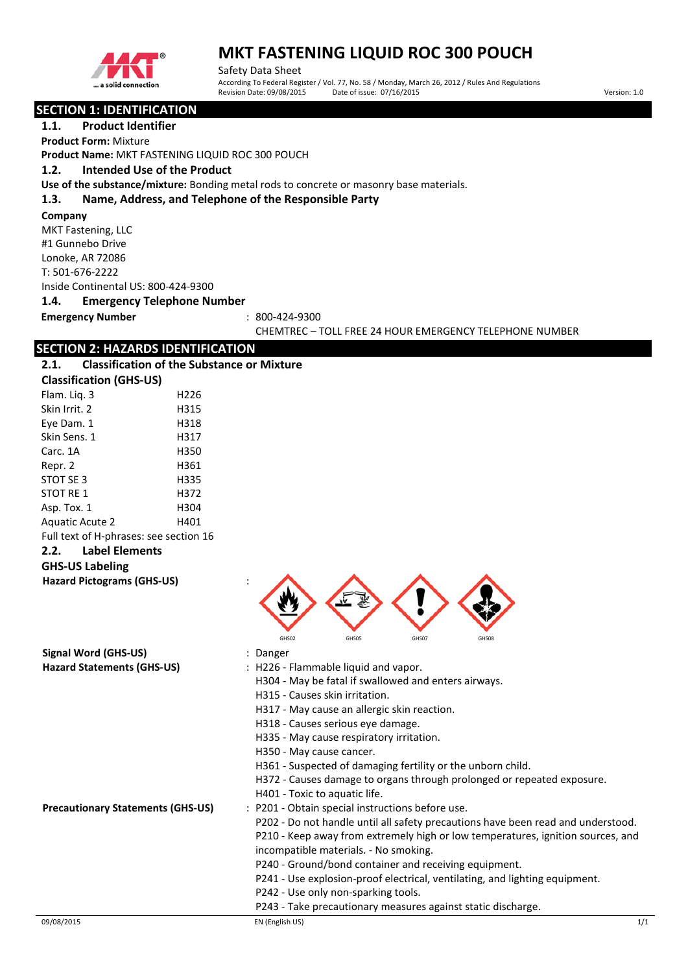

Safety Data Sheet According To Federal Register / Vol. 77, No. 58 / Monday, March 26, 2012 / Rules And Regulations Revision Date: 09/08/2015 Date of issue: 07/16/2015 Date of issue: 07/16/2015

#### **SECTION 1: IDENTIFICATION**

**1.1. Product Identifier Product Form:** Mixture

**Product Name:** MKT FASTENING LIQUID ROC 300 POUCH

#### **1.2. Intended Use of the Product**

**Use of the substance/mixture:** Bonding metal rods to concrete or masonry base materials.

#### **1.3. Name, Address, and Telephone of the Responsible Party**

**Company** 

MKT Fastening, LLC #1 Gunnebo Drive Lonoke, AR 72086 T: 501-676-2222 Inside Continental US: 800-424-9300

**1.4. Emergency Telephone Number**

### **Emergency Number** : 800-424-9300

CHEMTREC – TOLL FREE 24 HOUR EMERGENCY TELEPHONE NUMBER

## **SECTION 2: HAZARDS IDENTIFICATION**

| <b>Classification of the Substance or Mixture</b><br>2.1. |  |
|-----------------------------------------------------------|--|
|-----------------------------------------------------------|--|

| <b>Classification (GHS-US)</b>         |      |  |
|----------------------------------------|------|--|
| Flam. Lig. 3                           | H226 |  |
| Skin Irrit. 2                          | H315 |  |
| Eye Dam. 1                             | H318 |  |
| Skin Sens. 1                           | H317 |  |
| Carc. 1A                               | H350 |  |
| Repr. 2                                | H361 |  |
| STOT SE 3                              | H335 |  |
| <b>STOT RE 1</b>                       | H372 |  |
| Asp. Tox. 1                            | H304 |  |
| <b>Aguatic Acute 2</b>                 | H401 |  |
| Full text of H-phrases: see section 16 |      |  |
| <b>Label Elements</b><br>2.2.          |      |  |
| <b>GHS-US Labeling</b>                 |      |  |
| <b>Hazard Pictograms (GHS-US)</b>      |      |  |



**Signal Word (GHS-US)** : Danger

- 
- Hazard Statements (GHS-US) : H226 Flammable liquid and vapor.
	- H304 May be fatal if swallowed and enters airways.
		- H315 Causes skin irritation.
	- H317 May cause an allergic skin reaction.
	- H318 Causes serious eye damage.
	- H335 May cause respiratory irritation.
	- H350 May cause cancer.
	- H361 Suspected of damaging fertility or the unborn child.
	- H372 Causes damage to organs through prolonged or repeated exposure.
	- H401 Toxic to aquatic life.
- **Precautionary Statements (GHS-US)** : P201 Obtain special instructions before use.

P202 - Do not handle until all safety precautions have been read and understood. P210 - Keep away from extremely high or low temperatures, ignition sources, and incompatible materials. - No smoking.

- P240 Ground/bond container and receiving equipment.
- P241 Use explosion-proof electrical, ventilating, and lighting equipment.
- P242 Use only non-sparking tools.
- P243 Take precautionary measures against static discharge.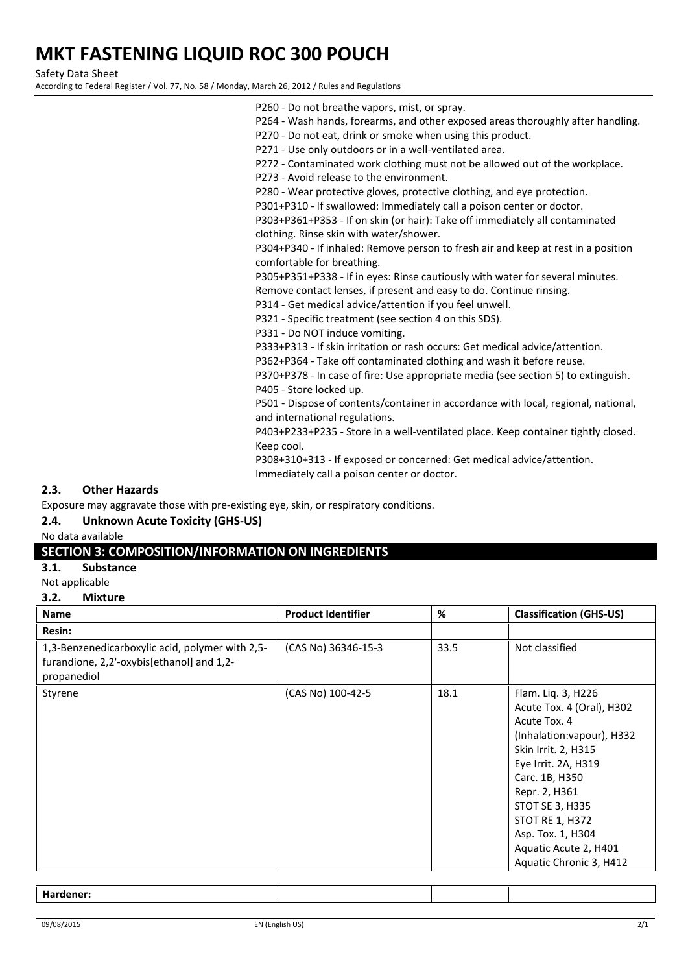Safety Data Sheet

According to Federal Register / Vol. 77, No. 58 / Monday, March 26, 2012 / Rules and Regulations

- P260 Do not breathe vapors, mist, or spray. P264 - Wash hands, forearms, and other exposed areas thoroughly after handling.
- P270 Do not eat, drink or smoke when using this product.
- P271 Use only outdoors or in a well-ventilated area.
- P272 Contaminated work clothing must not be allowed out of the workplace.
- P273 Avoid release to the environment.
- P280 Wear protective gloves, protective clothing, and eye protection.
- P301+P310 If swallowed: Immediately call a poison center or doctor.

P303+P361+P353 - If on skin (or hair): Take off immediately all contaminated clothing. Rinse skin with water/shower.

P304+P340 - If inhaled: Remove person to fresh air and keep at rest in a position comfortable for breathing.

P305+P351+P338 - If in eyes: Rinse cautiously with water for several minutes.

Remove contact lenses, if present and easy to do. Continue rinsing.

P314 - Get medical advice/attention if you feel unwell.

P321 - Specific treatment (see section 4 on this SDS).

P331 - Do NOT induce vomiting.

P333+P313 - If skin irritation or rash occurs: Get medical advice/attention.

P362+P364 - Take off contaminated clothing and wash it before reuse.

P370+P378 - In case of fire: Use appropriate media (see section 5) to extinguish. P405 - Store locked up.

P501 - Dispose of contents/container in accordance with local, regional, national, and international regulations.

P403+P233+P235 - Store in a well-ventilated place. Keep container tightly closed. Keep cool.

P308+310+313 - If exposed or concerned: Get medical advice/attention. Immediately call a poison center or doctor.

#### **2.3. Other Hazards**

Exposure may aggravate those with pre-existing eye, skin, or respiratory conditions.

#### **2.4. Unknown Acute Toxicity (GHS-US)**

No data available

#### **SECTION 3: COMPOSITION/INFORMATION ON INGREDIENTS**

**3.1. Substance**

## Not applicable

**3.2. Mixture**

| Name                                                                                                        | <b>Product Identifier</b> | %    | <b>Classification (GHS-US)</b>                                                                                                                                                                                                                                                                       |
|-------------------------------------------------------------------------------------------------------------|---------------------------|------|------------------------------------------------------------------------------------------------------------------------------------------------------------------------------------------------------------------------------------------------------------------------------------------------------|
| Resin:                                                                                                      |                           |      |                                                                                                                                                                                                                                                                                                      |
| 1,3-Benzenedicarboxylic acid, polymer with 2,5-<br>furandione, 2,2'-oxybis[ethanol] and 1,2-<br>propanediol | (CAS No) 36346-15-3       | 33.5 | Not classified                                                                                                                                                                                                                                                                                       |
| Styrene                                                                                                     | (CAS No) 100-42-5         | 18.1 | Flam. Liq. 3, H226<br>Acute Tox. 4 (Oral), H302<br>Acute Tox. 4<br>(Inhalation: vapour), H332<br>Skin Irrit. 2, H315<br>Eye Irrit. 2A, H319<br>Carc. 1B, H350<br>Repr. 2, H361<br>STOT SE 3, H335<br><b>STOT RE 1, H372</b><br>Asp. Tox. 1, H304<br>Aquatic Acute 2, H401<br>Aquatic Chronic 3, H412 |

#### **Hardener:**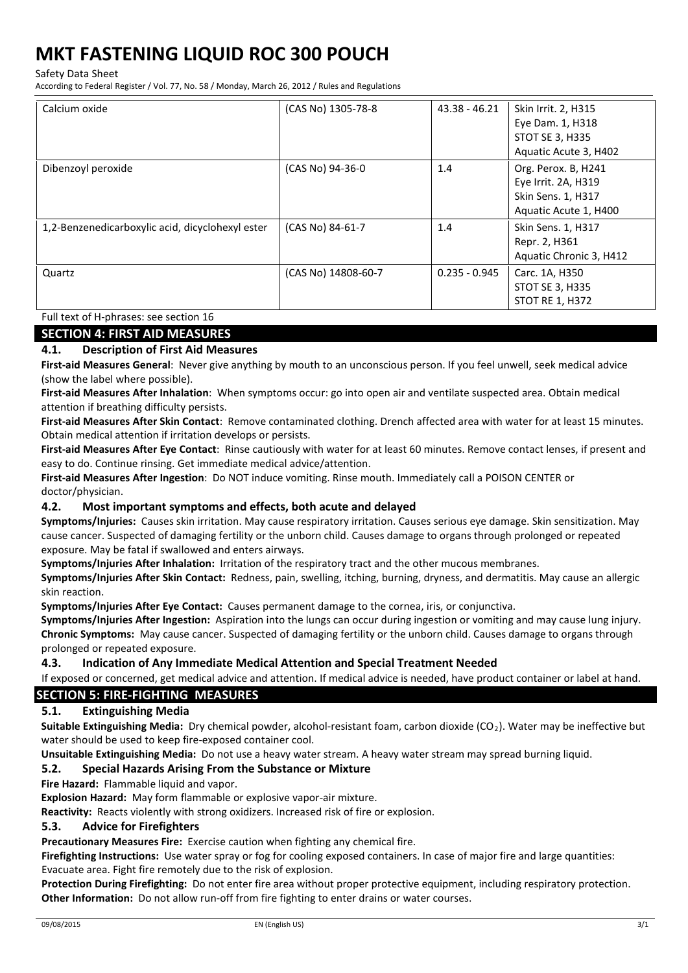Safety Data Sheet

According to Federal Register / Vol. 77, No. 58 / Monday, March 26, 2012 / Rules and Regulations

| Calcium oxide                                    | (CAS No) 1305-78-8  | $43.38 - 46.21$ | Skin Irrit. 2, H315<br>Eye Dam. 1, H318<br>STOT SE 3, H335<br>Aquatic Acute 3, H402       |
|--------------------------------------------------|---------------------|-----------------|-------------------------------------------------------------------------------------------|
| Dibenzoyl peroxide                               | (CAS No) 94-36-0    | 1.4             | Org. Perox. B, H241<br>Eye Irrit. 2A, H319<br>Skin Sens. 1, H317<br>Aquatic Acute 1, H400 |
| 1,2-Benzenedicarboxylic acid, dicyclohexyl ester | (CAS No) 84-61-7    | 1.4             | Skin Sens. 1, H317<br>Repr. 2, H361<br>Aquatic Chronic 3, H412                            |
| Quartz                                           | (CAS No) 14808-60-7 | $0.235 - 0.945$ | Carc. 1A, H350<br><b>STOT SE 3, H335</b><br><b>STOT RE 1, H372</b>                        |

Full text of H-phrases: see section 16

#### **SECTION 4: FIRST AID MEASURES**

#### **4.1. Description of First Aid Measures**

**First-aid Measures General**: Never give anything by mouth to an unconscious person. If you feel unwell, seek medical advice (show the label where possible).

**First-aid Measures After Inhalation**: When symptoms occur: go into open air and ventilate suspected area. Obtain medical attention if breathing difficulty persists.

**First-aid Measures After Skin Contact**: Remove contaminated clothing. Drench affected area with water for at least 15 minutes. Obtain medical attention if irritation develops or persists.

**First-aid Measures After Eye Contact**: Rinse cautiously with water for at least 60 minutes. Remove contact lenses, if present and easy to do. Continue rinsing. Get immediate medical advice/attention.

**First-aid Measures After Ingestion**: Do NOT induce vomiting. Rinse mouth. Immediately call a POISON CENTER or doctor/physician.

#### **4.2. Most important symptoms and effects, both acute and delayed**

**Symptoms/Injuries:** Causes skin irritation. May cause respiratory irritation. Causes serious eye damage. Skin sensitization. May cause cancer. Suspected of damaging fertility or the unborn child. Causes damage to organs through prolonged or repeated exposure. May be fatal if swallowed and enters airways.

**Symptoms/Injuries After Inhalation:** Irritation of the respiratory tract and the other mucous membranes.

**Symptoms/Injuries After Skin Contact:** Redness, pain, swelling, itching, burning, dryness, and dermatitis. May cause an allergic skin reaction.

**Symptoms/Injuries After Eye Contact:** Causes permanent damage to the cornea, iris, or conjunctiva.

**Symptoms/Injuries After Ingestion:** Aspiration into the lungs can occur during ingestion or vomiting and may cause lung injury. **Chronic Symptoms:** May cause cancer. Suspected of damaging fertility or the unborn child. Causes damage to organs through prolonged or repeated exposure.

#### **4.3. Indication of Any Immediate Medical Attention and Special Treatment Needed**

If exposed or concerned, get medical advice and attention. If medical advice is needed, have product container or label at hand.

#### **SECTION 5: FIRE-FIGHTING MEASURES**

### **5.1. Extinguishing Media**

**Suitable Extinguishing Media:** Dry chemical powder, alcohol-resistant foam, carbon dioxide (CO<sub>2</sub>). Water may be ineffective but water should be used to keep fire-exposed container cool.

**Unsuitable Extinguishing Media:** Do not use a heavy water stream. A heavy water stream may spread burning liquid.

#### **5.2. Special Hazards Arising From the Substance or Mixture**

#### **Fire Hazard:** Flammable liquid and vapor.

**Explosion Hazard:** May form flammable or explosive vapor-air mixture.

**Reactivity:** Reacts violently with strong oxidizers. Increased risk of fire or explosion.

#### **5.3. Advice for Firefighters**

**Precautionary Measures Fire:** Exercise caution when fighting any chemical fire.

**Firefighting Instructions:** Use water spray or fog for cooling exposed containers. In case of major fire and large quantities: Evacuate area. Fight fire remotely due to the risk of explosion.

**Protection During Firefighting:** Do not enter fire area without proper protective equipment, including respiratory protection. **Other Information:** Do not allow run-off from fire fighting to enter drains or water courses.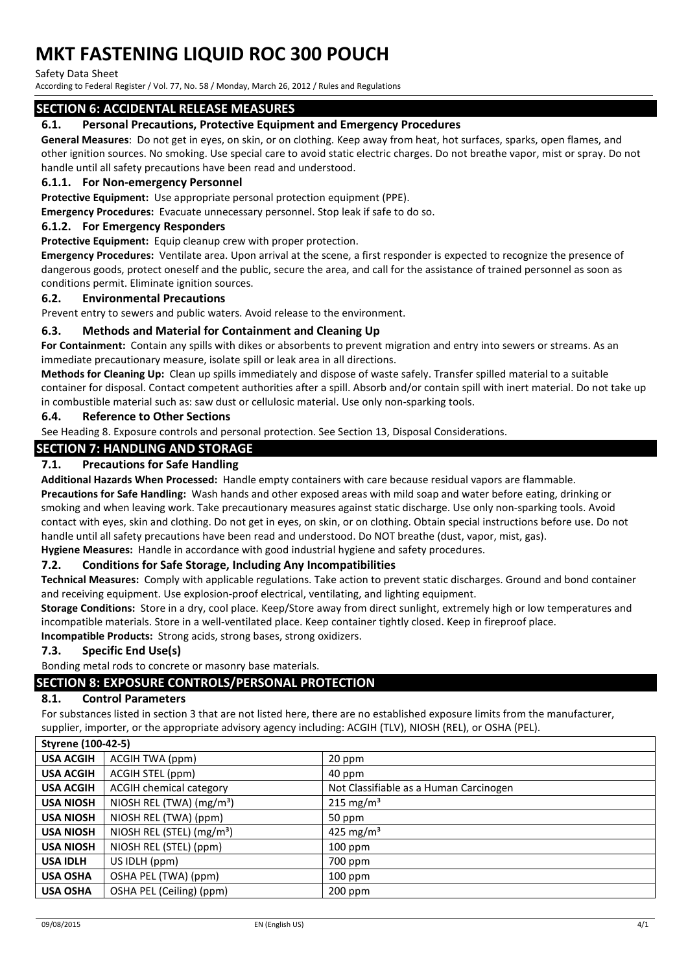Safety Data Sheet

According to Federal Register / Vol. 77, No. 58 / Monday, March 26, 2012 / Rules and Regulations

#### **SECTION 6: ACCIDENTAL RELEASE MEASURES**

#### **6.1. Personal Precautions, Protective Equipment and Emergency Procedures**

**General Measures**: Do not get in eyes, on skin, or on clothing. Keep away from heat, hot surfaces, sparks, open flames, and other ignition sources. No smoking. Use special care to avoid static electric charges. Do not breathe vapor, mist or spray. Do not handle until all safety precautions have been read and understood.

#### **6.1.1. For Non-emergency Personnel**

**Protective Equipment:** Use appropriate personal protection equipment (PPE).

**Emergency Procedures:** Evacuate unnecessary personnel. Stop leak if safe to do so.

#### **6.1.2. For Emergency Responders**

**Protective Equipment:** Equip cleanup crew with proper protection.

**Emergency Procedures:** Ventilate area. Upon arrival at the scene, a first responder is expected to recognize the presence of dangerous goods, protect oneself and the public, secure the area, and call for the assistance of trained personnel as soon as conditions permit. Eliminate ignition sources.

#### **6.2. Environmental Precautions**

Prevent entry to sewers and public waters. Avoid release to the environment.

#### **6.3. Methods and Material for Containment and Cleaning Up**

**For Containment:** Contain any spills with dikes or absorbents to prevent migration and entry into sewers or streams. As an immediate precautionary measure, isolate spill or leak area in all directions.

**Methods for Cleaning Up:** Clean up spills immediately and dispose of waste safely. Transfer spilled material to a suitable container for disposal. Contact competent authorities after a spill. Absorb and/or contain spill with inert material. Do not take up in combustible material such as: saw dust or cellulosic material. Use only non-sparking tools.

#### **6.4. Reference to Other Sections**

See Heading 8. Exposure controls and personal protection. See Section 13, Disposal Considerations.

## **SECTION 7: HANDLING AND STORAGE**

#### **7.1. Precautions for Safe Handling**

**Additional Hazards When Processed:** Handle empty containers with care because residual vapors are flammable. **Precautions for Safe Handling:** Wash hands and other exposed areas with mild soap and water before eating, drinking or smoking and when leaving work. Take precautionary measures against static discharge. Use only non-sparking tools. Avoid contact with eyes, skin and clothing. Do not get in eyes, on skin, or on clothing. Obtain special instructions before use. Do not handle until all safety precautions have been read and understood. Do NOT breathe (dust, vapor, mist, gas).

**Hygiene Measures:** Handle in accordance with good industrial hygiene and safety procedures.

#### **7.2. Conditions for Safe Storage, Including Any Incompatibilities**

**Technical Measures:** Comply with applicable regulations. Take action to prevent static discharges. Ground and bond container and receiving equipment. Use explosion-proof electrical, ventilating, and lighting equipment.

**Storage Conditions:** Store in a dry, cool place. Keep/Store away from direct sunlight, extremely high or low temperatures and incompatible materials. Store in a well-ventilated place. Keep container tightly closed. Keep in fireproof place.

**Incompatible Products:** Strong acids, strong bases, strong oxidizers.

#### **7.3. Specific End Use(s)**

Bonding metal rods to concrete or masonry base materials.

### **SECTION 8: EXPOSURE CONTROLS/PERSONAL PROTECTION**

#### **8.1. Control Parameters**

For substances listed in section 3 that are not listed here, there are no established exposure limits from the manufacturer, supplier, importer, or the appropriate advisory agency including: ACGIH (TLV), NIOSH (REL), or OSHA (PEL).

| <b>Styrene (100-42-5)</b> |                                       |                                        |
|---------------------------|---------------------------------------|----------------------------------------|
| <b>USA ACGIH</b>          | ACGIH TWA (ppm)                       | 20 ppm                                 |
| <b>USA ACGIH</b>          | ACGIH STEL (ppm)                      | 40 ppm                                 |
| <b>USA ACGIH</b>          | <b>ACGIH chemical category</b>        | Not Classifiable as a Human Carcinogen |
| <b>USA NIOSH</b>          | NIOSH REL (TWA) $(mg/m3)$             | 215 mg/m <sup>3</sup>                  |
| <b>USA NIOSH</b>          | NIOSH REL (TWA) (ppm)                 | 50 ppm                                 |
| <b>USA NIOSH</b>          | NIOSH REL (STEL) (mg/m <sup>3</sup> ) | 425 mg/m <sup>3</sup>                  |
| <b>USA NIOSH</b>          | NIOSH REL (STEL) (ppm)                | $100$ ppm                              |
| <b>USA IDLH</b>           | US IDLH (ppm)                         | 700 ppm                                |
| <b>USA OSHA</b>           | OSHA PEL (TWA) (ppm)                  | $100$ ppm                              |
| <b>USA OSHA</b>           | OSHA PEL (Ceiling) (ppm)              | $200$ ppm                              |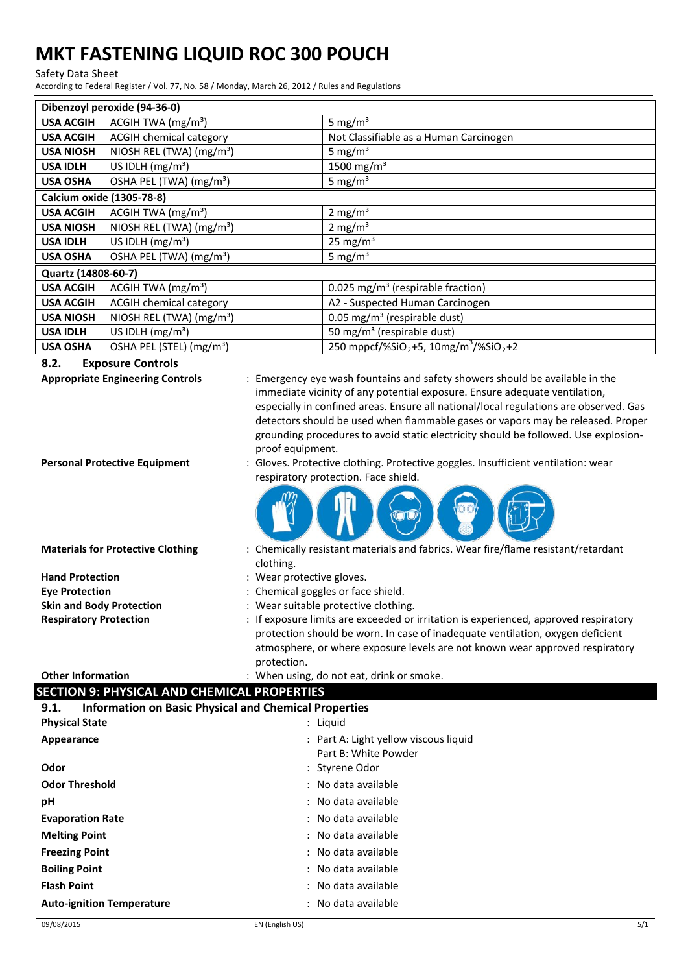#### Safety Data Sheet

According to Federal Register / Vol. 77, No. 58 / Monday, March 26, 2012 / Rules and Regulations

| Dibenzoyl peroxide (94-36-0) |                                      |                                                                           |
|------------------------------|--------------------------------------|---------------------------------------------------------------------------|
| <b>USA ACGIH</b>             | ACGIH TWA $(mg/m3)$                  | 5 mg/ $m3$                                                                |
| <b>USA ACGIH</b>             | <b>ACGIH chemical category</b>       | Not Classifiable as a Human Carcinogen                                    |
| <b>USA NIOSH</b>             | NIOSH REL (TWA) (mg/m <sup>3</sup> ) | 5 mg/m <sup>3</sup>                                                       |
| <b>USA IDLH</b>              | US IDLH $(mg/m3)$                    | 1500 mg/m <sup>3</sup>                                                    |
| <b>USA OSHA</b>              | OSHA PEL (TWA) (mg/m <sup>3</sup> )  | 5 mg/ $m3$                                                                |
|                              | Calcium oxide (1305-78-8)            |                                                                           |
| <b>USA ACGIH</b>             | ACGIH TWA $(mg/m3)$                  | 2 mg/m <sup>3</sup>                                                       |
| <b>USA NIOSH</b>             | NIOSH REL (TWA) (mg/m <sup>3</sup> ) | 2 mg/m <sup>3</sup>                                                       |
| <b>USA IDLH</b>              | US IDLH $(mg/m3)$                    | $25 \text{ mg/m}^3$                                                       |
| <b>USA OSHA</b>              | OSHA PEL (TWA) (mg/m <sup>3</sup> )  | 5 mg/ $m3$                                                                |
| Quartz (14808-60-7)          |                                      |                                                                           |
| <b>USA ACGIH</b>             | ACGIH TWA $(mg/m3)$                  | 0.025 mg/m <sup>3</sup> (respirable fraction)                             |
| <b>USA ACGIH</b>             | <b>ACGIH chemical category</b>       | A2 - Suspected Human Carcinogen                                           |
| <b>USA NIOSH</b>             | NIOSH REL (TWA) (mg/m <sup>3</sup> ) | 0.05 mg/m <sup>3</sup> (respirable dust)                                  |
| <b>USA IDLH</b>              | US IDLH $(mg/m3)$                    | 50 mg/m <sup>3</sup> (respirable dust)                                    |
| <b>USA OSHA</b>              | OSHA PEL (STEL) (mg/m <sup>3</sup> ) | 250 mppcf/%SiO <sub>2</sub> +5, 10mg/m <sup>3</sup> /%SiO <sub>2</sub> +2 |

#### **8.2. Exposure Controls**

**Appropriate Engineering Controls** : Emergency eye wash fountains and safety showers should be available in the immediate vicinity of any potential exposure. Ensure adequate ventilation, especially in confined areas. Ensure all national/local regulations are observed. Gas detectors should be used when flammable gases or vapors may be released. Proper grounding procedures to avoid static electricity should be followed. Use explosionproof equipment. **Personal Protective Equipment** : Gloves. Protective clothing. Protective goggles. Insufficient ventilation: wear respiratory protection. Face shield. **Materials for Protective Clothing** : Chemically resistant materials and fabrics. Wear fire/flame resistant/retardant clothing. Hand Protection **Hand Protective EXECUTE:** Wear protective gloves. **Eye Protection** : Chemical goggles or face shield. **Skin and Body Protection** : Wear suitable protective clothing. **Respiratory Protection** : If exposure limits are exceeded or irritation is experienced, approved respiratory protection should be worn. In case of inadequate ventilation, oxygen deficient atmosphere, or where exposure levels are not known wear approved respiratory protection.

#### **Other Information** : When using, do not eat, drink or smoke. **SECTION 9: PHYSICAL AND CHEMICAL PROPERTIES**

## **9.1. Information on Basic Physical and Chemical Properties**

| <b>Physical State</b>            | : Liquid                                                      |
|----------------------------------|---------------------------------------------------------------|
| Appearance                       | : Part A: Light yellow viscous liquid<br>Part B: White Powder |
| Odor                             | : Styrene Odor                                                |
| <b>Odor Threshold</b>            | : No data available                                           |
| рH                               | : No data available                                           |
| <b>Evaporation Rate</b>          | : No data available                                           |
| <b>Melting Point</b>             | : No data available                                           |
| <b>Freezing Point</b>            | : No data available                                           |
| <b>Boiling Point</b>             | : No data available                                           |
| <b>Flash Point</b>               | : No data available                                           |
| <b>Auto-ignition Temperature</b> | : No data available                                           |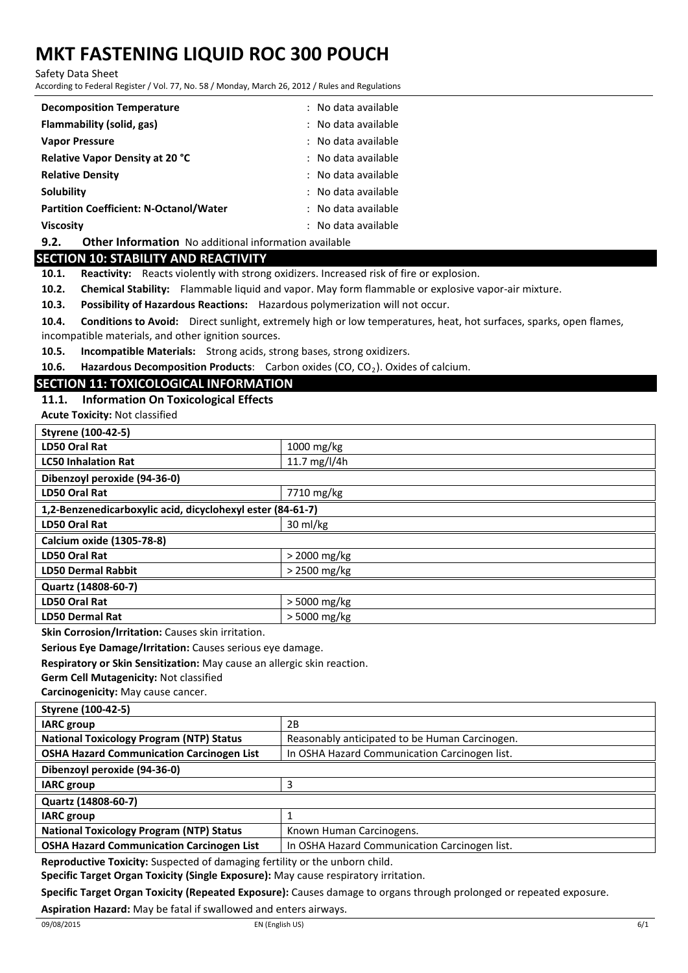Safety Data Sheet

According to Federal Register / Vol. 77, No. 58 / Monday, March 26, 2012 / Rules and Regulations

| <b>Decomposition Temperature</b>                                     | : No data available |
|----------------------------------------------------------------------|---------------------|
| Flammability (solid, gas)                                            | : No data available |
| <b>Vapor Pressure</b>                                                | : No data available |
| <b>Relative Vapor Density at 20 °C</b>                               | : No data available |
| <b>Relative Density</b>                                              | : No data available |
| Solubility                                                           | : No data available |
| <b>Partition Coefficient: N-Octanol/Water</b>                        | : No data available |
| <b>Viscosity</b>                                                     | : No data available |
| 9.2.<br><b>Other Information</b> No additional information available |                     |

#### **SECTION 10: STABILITY AND REACTIVITY**

**10.1. Reactivity:** Reacts violently with strong oxidizers. Increased risk of fire or explosion.

**10.2. Chemical Stability:** Flammable liquid and vapor. May form flammable or explosive vapor-air mixture.

**10.3. Possibility of Hazardous Reactions:** Hazardous polymerization will not occur.

**10.4. Conditions to Avoid:** Direct sunlight, extremely high or low temperatures, heat, hot surfaces, sparks, open flames, incompatible materials, and other ignition sources.

**10.5. Incompatible Materials:** Strong acids, strong bases, strong oxidizers.

**10.6. Hazardous Decomposition Products:** Carbon oxides (CO, CO<sub>2</sub>). Oxides of calcium.

#### **SECTION 11: TOXICOLOGICAL INFORMATION**

### **11.1. Information On Toxicological Effects**

**Acute Toxicity:** Not classified

| <b>Styrene (100-42-5)</b>                                  |                |
|------------------------------------------------------------|----------------|
| LD50 Oral Rat                                              | 1000 mg/kg     |
| <b>LC50 Inhalation Rat</b>                                 | 11.7 mg/l/4h   |
| Dibenzoyl peroxide (94-36-0)                               |                |
| <b>LD50 Oral Rat</b>                                       | 7710 mg/kg     |
| 1,2-Benzenedicarboxylic acid, dicyclohexyl ester (84-61-7) |                |
| <b>LD50 Oral Rat</b>                                       | 30 ml/kg       |
| Calcium oxide (1305-78-8)                                  |                |
| <b>LD50 Oral Rat</b>                                       | $>$ 2000 mg/kg |
| <b>LD50 Dermal Rabbit</b>                                  | > 2500 mg/kg   |
| Quartz (14808-60-7)                                        |                |
| <b>LD50 Oral Rat</b>                                       | > 5000 mg/kg   |
| <b>LD50 Dermal Rat</b>                                     | $>$ 5000 mg/kg |

**Skin Corrosion/Irritation:** Causes skin irritation.

**Serious Eye Damage/Irritation:** Causes serious eye damage.

**Respiratory or Skin Sensitization:** May cause an allergic skin reaction.

**Germ Cell Mutagenicity:** Not classified

**Carcinogenicity:** May cause cancer.

| <b>Styrene (100-42-5)</b>                        |                                                |
|--------------------------------------------------|------------------------------------------------|
| <b>IARC</b> group                                | 2B                                             |
| <b>National Toxicology Program (NTP) Status</b>  | Reasonably anticipated to be Human Carcinogen. |
| <b>OSHA Hazard Communication Carcinogen List</b> | In OSHA Hazard Communication Carcinogen list.  |
| Dibenzoyl peroxide (94-36-0)                     |                                                |
| <b>IARC</b> group                                |                                                |
| Quartz (14808-60-7)                              |                                                |
| <b>IARC</b> group                                |                                                |
| <b>National Toxicology Program (NTP) Status</b>  | Known Human Carcinogens.                       |
| <b>OSHA Hazard Communication Carcinogen List</b> | In OSHA Hazard Communication Carcinogen list.  |

**Reproductive Toxicity:** Suspected of damaging fertility or the unborn child.

**Specific Target Organ Toxicity (Single Exposure):** May cause respiratory irritation.

**Specific Target Organ Toxicity (Repeated Exposure):** Causes damage to organs through prolonged or repeated exposure.

**Aspiration Hazard:** May be fatal if swallowed and enters airways.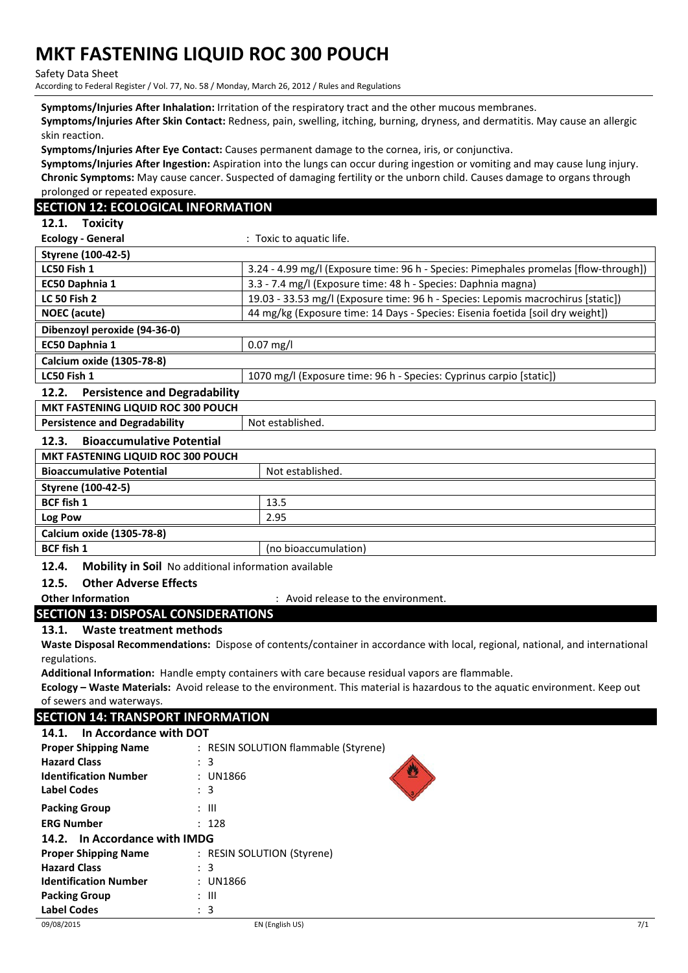Safety Data Sheet

According to Federal Register / Vol. 77, No. 58 / Monday, March 26, 2012 / Rules and Regulations

**Symptoms/Injuries After Inhalation:** Irritation of the respiratory tract and the other mucous membranes.

**Symptoms/Injuries After Skin Contact:** Redness, pain, swelling, itching, burning, dryness, and dermatitis. May cause an allergic skin reaction.

**Symptoms/Injuries After Eye Contact:** Causes permanent damage to the cornea, iris, or conjunctiva.

**Symptoms/Injuries After Ingestion:** Aspiration into the lungs can occur during ingestion or vomiting and may cause lung injury. **Chronic Symptoms:** May cause cancer. Suspected of damaging fertility or the unborn child. Causes damage to organs through prolonged or repeated exposure.

### **SECTION 12: ECOLOGICAL INFORMATION**

**12.1. Toxicity**

| <b>Ecology - General</b>                      | : Toxic to aquatic life.                                                             |
|-----------------------------------------------|--------------------------------------------------------------------------------------|
| <b>Styrene (100-42-5)</b>                     |                                                                                      |
| LC50 Fish 1                                   | 3.24 - 4.99 mg/l (Exposure time: 96 h - Species: Pimephales promelas [flow-through]) |
| EC50 Daphnia 1                                | 3.3 - 7.4 mg/l (Exposure time: 48 h - Species: Daphnia magna)                        |
| <b>LC 50 Fish 2</b>                           | 19.03 - 33.53 mg/l (Exposure time: 96 h - Species: Lepomis macrochirus [static])     |
| <b>NOEC</b> (acute)                           | 44 mg/kg (Exposure time: 14 Days - Species: Eisenia foetida [soil dry weight])       |
| Dibenzoyl peroxide (94-36-0)                  |                                                                                      |
| EC50 Daphnia 1                                | $0.07$ mg/l                                                                          |
| Calcium oxide (1305-78-8)                     |                                                                                      |
| LC50 Fish 1                                   | 1070 mg/l (Exposure time: 96 h - Species: Cyprinus carpio [static])                  |
| <b>Persistence and Degradability</b><br>12.2. |                                                                                      |

**MKT FASTENING LIQUID ROC 300 POUCH Persistence and Degradability** Not established.

| Calcium oxide (1305-78-8) |  |
|---------------------------|--|
| (no bioaccumulation)      |  |
|                           |  |

**12.4. Mobility in Soil** No additional information available

### **12.5. Other Adverse Effects**

**Other Information COLLECT ENGLISION CONTENT** : Avoid release to the environment.

## **SECTION 13: DISPOSAL CONSIDERATIONS**

### **13.1. Waste treatment methods**

**Waste Disposal Recommendations:** Dispose of contents/container in accordance with local, regional, national, and international regulations.

**Additional Information:** Handle empty containers with care because residual vapors are flammable.

**Ecology – Waste Materials:** Avoid release to the environment. This material is hazardous to the aquatic environment. Keep out of sewers and waterways.

### **SECTION 14: TRANSPORT INFORMATION**

| In Accordance with DOT<br>14.1.                           |                                      |     |
|-----------------------------------------------------------|--------------------------------------|-----|
| <b>Proper Shipping Name</b>                               | : RESIN SOLUTION flammable (Styrene) |     |
| <b>Hazard Class</b>                                       | $\therefore$ 3                       |     |
| <b>Identification Number</b>                              | : UN1866                             |     |
| <b>Label Codes</b>                                        | $\therefore$ 3                       |     |
| <b>Packing Group</b>                                      | $\therefore$ $\blacksquare$          |     |
| <b>ERG Number</b>                                         | : 128                                |     |
| 14.2. In Accordance with IMDG                             |                                      |     |
| : RESIN SOLUTION (Styrene)<br><b>Proper Shipping Name</b> |                                      |     |
| <b>Hazard Class</b>                                       | $\colon$ 3                           |     |
| <b>Identification Number</b>                              | : UN1866                             |     |
| <b>Packing Group</b>                                      | $\therefore$ $\parallel$             |     |
| <b>Label Codes</b>                                        | : 3                                  |     |
| 09/08/2015                                                | EN (English US)                      | 7/1 |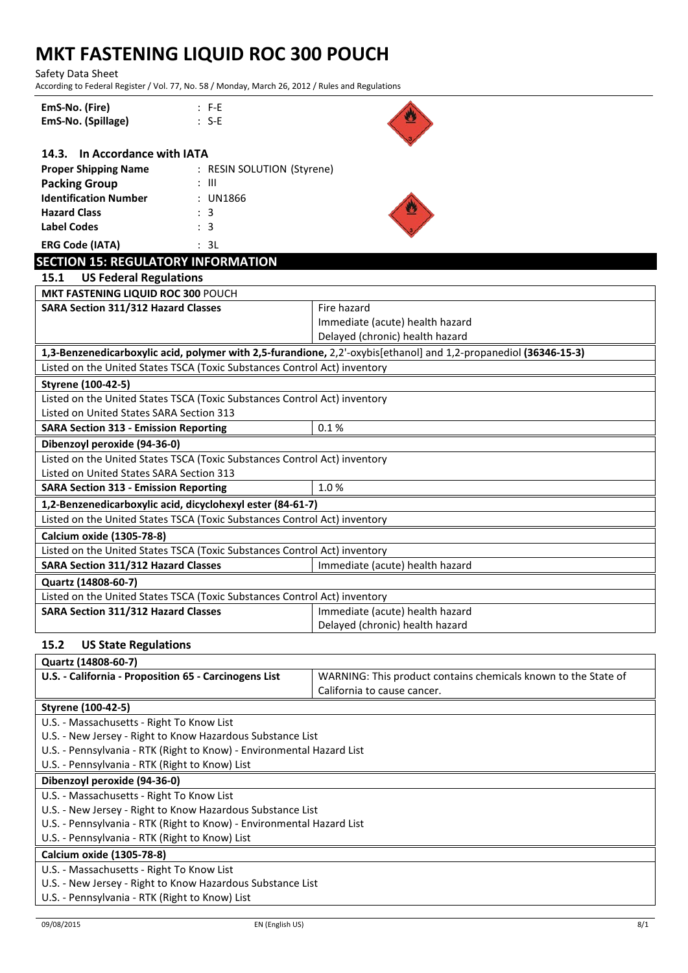Safety Data Sheet

According to Federal Register / Vol. 77, No. 58 / Monday, March 26, 2012 / Rules and Regulations

| EmS-No. (Fire)<br>$: F-E$                                                 |                                                                                                                  |  |  |  |
|---------------------------------------------------------------------------|------------------------------------------------------------------------------------------------------------------|--|--|--|
| EmS-No. (Spillage)<br>$: S-E$                                             |                                                                                                                  |  |  |  |
|                                                                           |                                                                                                                  |  |  |  |
| 14.3. In Accordance with IATA                                             |                                                                                                                  |  |  |  |
| <b>Proper Shipping Name</b><br>: RESIN SOLUTION (Styrene)                 |                                                                                                                  |  |  |  |
| <b>Packing Group</b><br>$\therefore$ $\parallel$                          |                                                                                                                  |  |  |  |
| <b>Identification Number</b><br>: UN1866                                  |                                                                                                                  |  |  |  |
| <b>Hazard Class</b><br>: 3                                                |                                                                                                                  |  |  |  |
| <b>Label Codes</b><br>: 3                                                 |                                                                                                                  |  |  |  |
| <b>ERG Code (IATA)</b><br>: 3L                                            |                                                                                                                  |  |  |  |
| <b>SECTION 15: REGULATORY INFORMATION</b>                                 |                                                                                                                  |  |  |  |
| <b>US Federal Regulations</b><br>15.1                                     |                                                                                                                  |  |  |  |
| MKT FASTENING LIQUID ROC 300 POUCH                                        |                                                                                                                  |  |  |  |
| <b>SARA Section 311/312 Hazard Classes</b>                                | Fire hazard                                                                                                      |  |  |  |
|                                                                           | Immediate (acute) health hazard                                                                                  |  |  |  |
|                                                                           | Delayed (chronic) health hazard                                                                                  |  |  |  |
|                                                                           | 1,3-Benzenedicarboxylic acid, polymer with 2,5-furandione, 2,2'-oxybis[ethanol] and 1,2-propanediol (36346-15-3) |  |  |  |
| Listed on the United States TSCA (Toxic Substances Control Act) inventory |                                                                                                                  |  |  |  |
| Styrene (100-42-5)                                                        |                                                                                                                  |  |  |  |
| Listed on the United States TSCA (Toxic Substances Control Act) inventory |                                                                                                                  |  |  |  |
| Listed on United States SARA Section 313                                  |                                                                                                                  |  |  |  |
| <b>SARA Section 313 - Emission Reporting</b>                              | 0.1%                                                                                                             |  |  |  |
|                                                                           |                                                                                                                  |  |  |  |
| Dibenzoyl peroxide (94-36-0)                                              |                                                                                                                  |  |  |  |
| Listed on the United States TSCA (Toxic Substances Control Act) inventory |                                                                                                                  |  |  |  |
| Listed on United States SARA Section 313                                  |                                                                                                                  |  |  |  |
| <b>SARA Section 313 - Emission Reporting</b>                              | 1.0%                                                                                                             |  |  |  |
| 1,2-Benzenedicarboxylic acid, dicyclohexyl ester (84-61-7)                |                                                                                                                  |  |  |  |
| Listed on the United States TSCA (Toxic Substances Control Act) inventory |                                                                                                                  |  |  |  |
| Calcium oxide (1305-78-8)                                                 |                                                                                                                  |  |  |  |
| Listed on the United States TSCA (Toxic Substances Control Act) inventory |                                                                                                                  |  |  |  |
| <b>SARA Section 311/312 Hazard Classes</b>                                | Immediate (acute) health hazard                                                                                  |  |  |  |
|                                                                           |                                                                                                                  |  |  |  |
| Quartz (14808-60-7)                                                       |                                                                                                                  |  |  |  |
| Listed on the United States TSCA (Toxic Substances Control Act) inventory |                                                                                                                  |  |  |  |
| SARA Section 311/312 Hazard Classes                                       | Immediate (acute) health hazard                                                                                  |  |  |  |
|                                                                           | Delayed (chronic) health hazard                                                                                  |  |  |  |
|                                                                           |                                                                                                                  |  |  |  |
| 15.2<br><b>US State Regulations</b>                                       |                                                                                                                  |  |  |  |
| Quartz (14808-60-7)                                                       |                                                                                                                  |  |  |  |
| U.S. - California - Proposition 65 - Carcinogens List                     | WARNING: This product contains chemicals known to the State of                                                   |  |  |  |
|                                                                           | California to cause cancer.                                                                                      |  |  |  |
| Styrene (100-42-5)                                                        |                                                                                                                  |  |  |  |
| U.S. - Massachusetts - Right To Know List                                 |                                                                                                                  |  |  |  |
| U.S. - New Jersey - Right to Know Hazardous Substance List                |                                                                                                                  |  |  |  |
| U.S. - Pennsylvania - RTK (Right to Know) - Environmental Hazard List     |                                                                                                                  |  |  |  |
| U.S. - Pennsylvania - RTK (Right to Know) List                            |                                                                                                                  |  |  |  |
| Dibenzoyl peroxide (94-36-0)                                              |                                                                                                                  |  |  |  |
| U.S. - Massachusetts - Right To Know List                                 |                                                                                                                  |  |  |  |
| U.S. - New Jersey - Right to Know Hazardous Substance List                |                                                                                                                  |  |  |  |
| U.S. - Pennsylvania - RTK (Right to Know) - Environmental Hazard List     |                                                                                                                  |  |  |  |
| U.S. - Pennsylvania - RTK (Right to Know) List                            |                                                                                                                  |  |  |  |
| Calcium oxide (1305-78-8)<br>U.S. - Massachusetts - Right To Know List    |                                                                                                                  |  |  |  |

U.S. - Pennsylvania - RTK (Right to Know) List